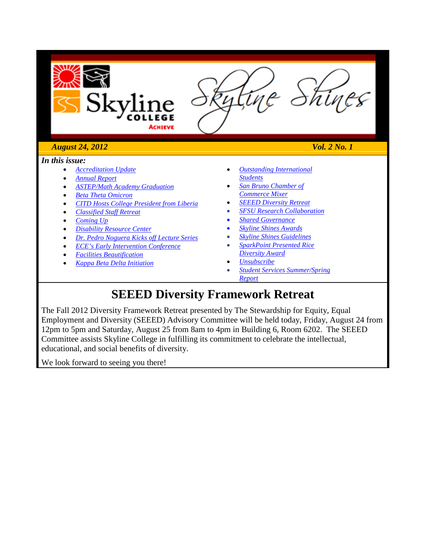

### **SEEED Diversity Framework Retreat**

<span id="page-0-0"></span>The Fall 2012 Diversity Framework Retreat presented by The Stewardship for Equity, Equal Employment and Diversity (SEEED) Advisory Committee will be held today, Friday, August 24 from 12pm to 5pm and Saturday, August 25 from 8am to 4pm in Building 6, Room 6202. The SEEED Committee assists Skyline College in fulfilling its commitment to celebrate the intellectual, educational, and social benefits of diversity.

We look forward to seeing you there!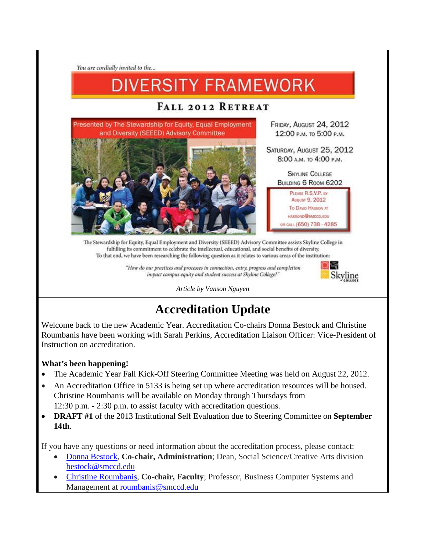You are cordially invited to the...

# **DIVERSITY FRAMEWORK**

#### FALL 2012 RETREAT



fulfilling its commitment to celebrate the intellectual, educational, and social benefits of diversity. To that end, we have been researching the following question as it relates to various areas of the institution:

> "How do our practices and processes in connection, entry, progress and completion impact campus equity and student success at Skyline College?"



*Article by Vanson Nguyen*

### **Accreditation Update**

<span id="page-1-0"></span>Welcome back to the new Academic Year. Accreditation Co-chairs Donna Bestock and Christine Roumbanis have been working with Sarah Perkins, Accreditation Liaison Officer: Vice-President of Instruction on accreditation.

#### **What's been happening!**

- The Academic Year Fall Kick-Off Steering Committee Meeting was held on August 22, 2012.
- An Accreditation Office in 5133 is being set up where accreditation resources will be housed. Christine Roumbanis will be available on Monday through Thursdays from 12:30 p.m. - 2:30 p.m. to assist faculty with accreditation questions.
- **DRAFT #1** of the 2013 Institutional Self Evaluation due to Steering Committee on **September 14th**.

If you have any questions or need information about the accreditation process, please contact:

- [Donna Bestock,](mailto:bestock@smccd.edu) **Co-chair, Administration**; Dean, Social Science/Creative Arts division [bestock@smccd.edu](mailto:bestock@smccd.edu)
- [Christine Roumbanis,](mailto:roumbanisc@smccd.edu) **Co-chair, Faculty**; Professor, Business Computer Systems and Management at [roumbanis@smccd.edu](mailto:roumbanis@smccd.edu)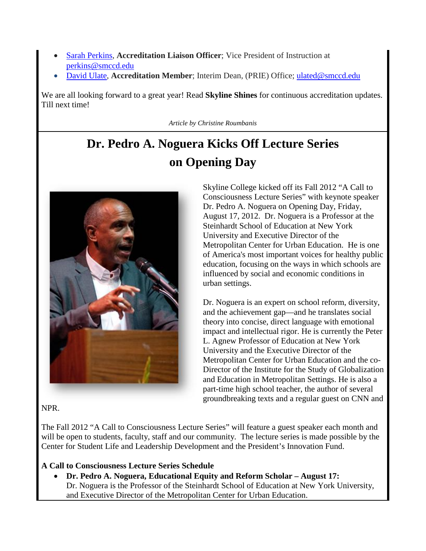- [Sarah Perkins,](mailto:perkinss@smccd.edu) **Accreditation Liaison Officer**; Vice President of Instruction at [perkins@smccd.edu](mailto:perkins@smccd.edu)
- [David Ulate,](mailto:ulated@smccd.edu) **Accreditation Member**; Interim Dean, (PRIE) Office; [ulated@smccd.edu](mailto:ulated@smccd.edu)

<span id="page-2-0"></span>We are all looking forward to a great year! Read **Skyline Shines** for continuous accreditation updates. Till next time!

*Article by Christine Roumbanis*

## **Dr. Pedro A. Noguera Kicks Off Lecture Series on Opening Day**



Skyline College kicked off its Fall 2012 "A Call to Consciousness Lecture Series" with keynote speaker Dr. Pedro A. Noguera on Opening Day, Friday, August 17, 2012. Dr. Noguera is a Professor at the Steinhardt School of Education at New York University and Executive Director of the Metropolitan Center for Urban Education. He is one of America's most important voices for healthy public education, focusing on the ways in which schools are influenced by social and economic conditions in urban settings.

Dr. Noguera is an expert on school reform, diversity, and the achievement gap—and he translates social theory into concise, direct language with emotional impact and intellectual rigor. He is currently the Peter L. Agnew Professor of Education at New York University and the Executive Director of the Metropolitan Center for Urban Education and the co-Director of the Institute for the Study of Globalization and Education in Metropolitan Settings. He is also a part-time high school teacher, the author of several groundbreaking texts and a regular guest on CNN and

NPR.

The Fall 2012 "A Call to Consciousness Lecture Series" will feature a guest speaker each month and will be open to students, faculty, staff and our community. The lecture series is made possible by the Center for Student Life and Leadership Development and the President's Innovation Fund.

#### **A Call to Consciousness Lecture Series Schedule**

• **Dr. Pedro A. Noguera, Educational Equity and Reform Scholar – August 17:** Dr. Noguera is the Professor of the Steinhardt School of Education at New York University, and Executive Director of the Metropolitan Center for Urban Education.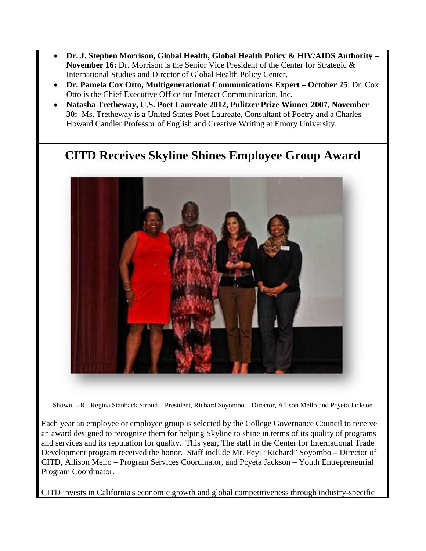- **Dr. J. Stephen Morrison, Global Health, Global Health Policy & HIV/AIDS Authority – November 16:** Dr. Morrison is the Senior Vice President of the Center for Strategic & International Studies and Director of Global Health Policy Center.
- **Dr. Pamela Cox Otto, Multigenerational Communications Expert – October 25**: Dr. Cox Otto is the Chief Executive Office for Interact Communication, Inc.
- **Natasha Tretheway, U.S. Poet Laureate 2012, Pulitzer Prize Winner 2007, November 30:** Ms. Tretheway is a United States Poet Laureate, Consultant of Poetry and a Charles Howard Candler Professor of English and Creative Writing at Emory University.

### <span id="page-3-0"></span>**CITD Receives Skyline Shines Employee Group Award**



Shown L-R: Regina Stanback Stroud – President, Richard Soyombo – Director, Allison Mello and Pcyeta Jackson

Each year an employee or employee group is selected by the College Governance Council to receive an award designed to recognize them for helping Skyline to shine in terms of its quality of programs and services and its reputation for quality. This year, The staff in the Center for International Trade Development program received the honor. Staff include Mr. Feyi "Richard" Soyombo – Director of CITD, Allison Mello – Program Services Coordinator, and Pcyeta Jackson – Youth Entrepreneurial Program Coordinator.

CITD invests in California's economic growth and global competitiveness through industry-specific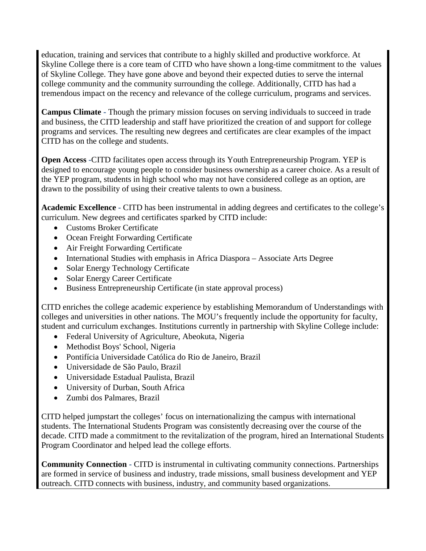education, training and services that contribute to a highly skilled and productive workforce. At Skyline College there is a core team of CITD who have shown a long-time commitment to the values of Skyline College. They have gone above and beyond their expected duties to serve the internal college community and the community surrounding the college. Additionally, CITD has had a tremendous impact on the recency and relevance of the college curriculum, programs and services.

**Campus Climate -** Though the primary mission focuses on serving individuals to succeed in trade and business, the CITD leadership and staff have prioritized the creation of and support for college programs and services. The resulting new degrees and certificates are clear examples of the impact CITD has on the college and students.

**Open Access -**CITD facilitates open access through its Youth Entrepreneurship Program. YEP is designed to encourage young people to consider business ownership as a career choice. As a result of the YEP program, students in high school who may not have considered college as an option, are drawn to the possibility of using their creative talents to own a business.

**Academic Excellence -** CITD has been instrumental in adding degrees and certificates to the college's curriculum. New degrees and certificates sparked by CITD include:

- Customs Broker Certificate
- Ocean Freight Forwarding Certificate
- Air Freight Forwarding Certificate
- International Studies with emphasis in Africa Diaspora Associate Arts Degree
- Solar Energy Technology Certificate
- Solar Energy Career Certificate
- Business Entrepreneurship Certificate (in state approval process)

CITD enriches the college academic experience by establishing Memorandum of Understandings with colleges and universities in other nations. The MOU's frequently include the opportunity for faculty, student and curriculum exchanges. Institutions currently in partnership with Skyline College include:

- Federal University of Agriculture, Abeokuta, Nigeria
- Methodist Boys' School, Nigeria
- Pontifícia Universidade Católica do Rio de Janeiro, Brazil
- Universidade de São Paulo, Brazil
- Universidade Estadual Paulista, Brazil
- University of Durban, South Africa
- Zumbi dos Palmares, Brazil

CITD helped jumpstart the colleges' focus on internationalizing the campus with international students. The International Students Program was consistently decreasing over the course of the decade. CITD made a commitment to the revitalization of the program, hired an International Students Program Coordinator and helped lead the college efforts.

**Community Connection -** CITD is instrumental in cultivating community connections. Partnerships are formed in service of business and industry, trade missions, small business development and YEP outreach. CITD connects with business, industry, and community based organizations.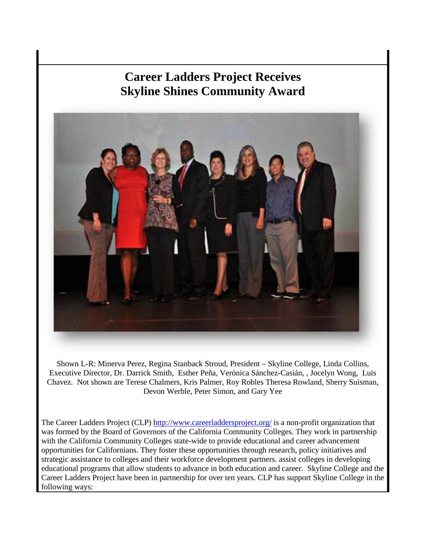#### **Career Ladders Project Receives Skyline Shines Community Award**



Shown L-R: Minerva Perez, Regina Stanback Stroud, President – Skyline College, Linda Collins, Executive Director, Dr. Darrick Smith, Esther Peña, Verónica Sánchez-Casián, , Jocelyn Wong, Luis Chavez. Not shown are Terese Chalmers, Kris Palmer, Roy Robles Theresa Rowland, Sherry Suisman, Devon Werble, Peter Simon, and Gary Yee

The Career Ladders Project (CLP)<http://www.careerladdersproject.org/> is a non-profit organization that was formed by the Board of Governors of the California Community Colleges. They work in partnership with the California Community Colleges state-wide to provide educational and career advancement opportunities for Californians. They foster these opportunities through research, policy initiatives and strategic assistance to colleges and their workforce development partners. assist colleges in developing educational programs that allow students to advance in both education and career. Skyline College and the Career Ladders Project have been in partnership for over ten years. CLP has support Skyline College in the following ways: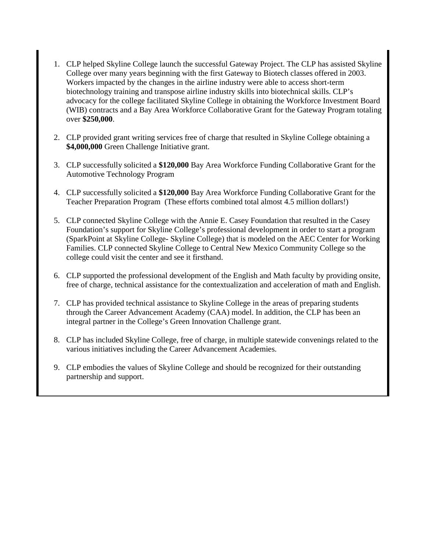- 1. CLP helped Skyline College launch the successful Gateway Project. The CLP has assisted Skyline College over many years beginning with the first Gateway to Biotech classes offered in 2003. Workers impacted by the changes in the airline industry were able to access short-term biotechnology training and transpose airline industry skills into biotechnical skills. CLP's advocacy for the college facilitated Skyline College in obtaining the Workforce Investment Board (WIB) contracts and a Bay Area Workforce Collaborative Grant for the Gateway Program totaling over **\$250,000**.
- 2. CLP provided grant writing services free of charge that resulted in Skyline College obtaining a **\$4,000,000** Green Challenge Initiative grant.
- 3. CLP successfully solicited a **\$120,000** Bay Area Workforce Funding Collaborative Grant for the Automotive Technology Program
- 4. CLP successfully solicited a **\$120,000** Bay Area Workforce Funding Collaborative Grant for the Teacher Preparation Program (These efforts combined total almost 4.5 million dollars!)
- 5. CLP connected Skyline College with the Annie E. Casey Foundation that resulted in the Casey Foundation's support for Skyline College's professional development in order to start a program (SparkPoint at Skyline College- Skyline College) that is modeled on the AEC Center for Working Families. CLP connected Skyline College to Central New Mexico Community College so the college could visit the center and see it firsthand.
- 6. CLP supported the professional development of the English and Math faculty by providing onsite, free of charge, technical assistance for the contextualization and acceleration of math and English.
- 7. CLP has provided technical assistance to Skyline College in the areas of preparing students through the Career Advancement Academy (CAA) model. In addition, the CLP has been an integral partner in the College's Green Innovation Challenge grant.
- 8. CLP has included Skyline College, free of charge, in multiple statewide convenings related to the various initiatives including the Career Advancement Academies.
- 9. CLP embodies the values of Skyline College and should be recognized for their outstanding partnership and support.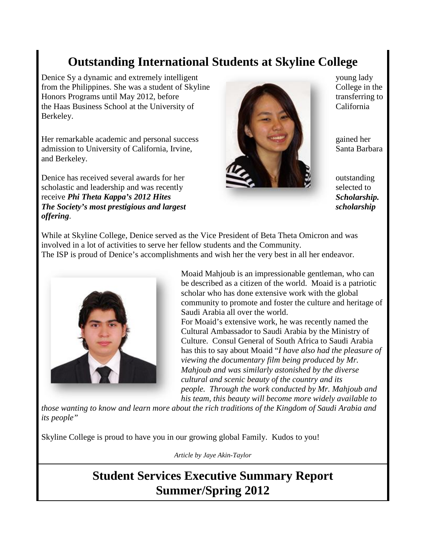### **Outstanding International Students at Skyline College**

<span id="page-7-0"></span>Denice Sy a dynamic and extremely intelligent young lady young lady from the Philippines. She was a student of Skyline College in the College in the Honors Programs until May 2012, before transferring to the transferring to the Haas Business School at the University of California Berkeley.

Her remarkable academic and personal success gained her admission to University of California, Irvine, Santa Barbara and Berkeley.

Denice has received several awards for her outstanding outstanding scholastic and leadership and was recently selected to selected to receive *Phi Theta Kappa's 2012 Hites* Scholarship. *Scholarship. Scholarship. Scholarship. The Society's most prestigious and largest* scholarship scholarship scholarship **scholarship** *offering*.



While at Skyline College, Denice served as the Vice President of Beta Theta Omicron and was involved in a lot of activities to serve her fellow students and the Community. The ISP is proud of Denice's accomplishments and wish her the very best in all her endeavor.



Moaid Mahjoub is an impressionable gentleman, who can be described as a citizen of the world. Moaid is a patriotic scholar who has done extensive work with the global community to promote and foster the culture and heritage of Saudi Arabia all over the world. For Moaid's extensive work, he was recently named the

Cultural Ambassador to Saudi Arabia by the Ministry of Culture. Consul General of South Africa to Saudi Arabia has this to say about Moaid "*I have also had the pleasure of viewing the documentary film being produced by Mr. Mahjoub and was similarly astonished by the diverse cultural and scenic beauty of the country and its people. Through the work conducted by Mr. Mahjoub and his team, this beauty will become more widely available to* 

*those wanting to know and learn more about the rich traditions of the Kingdom of Saudi Arabia and its people"*

<span id="page-7-1"></span>Skyline College is proud to have you in our growing global Family. Kudos to you!

*Article by Jaye Akin-Taylor*

### **Student Services Executive Summary Report Summer/Spring 2012**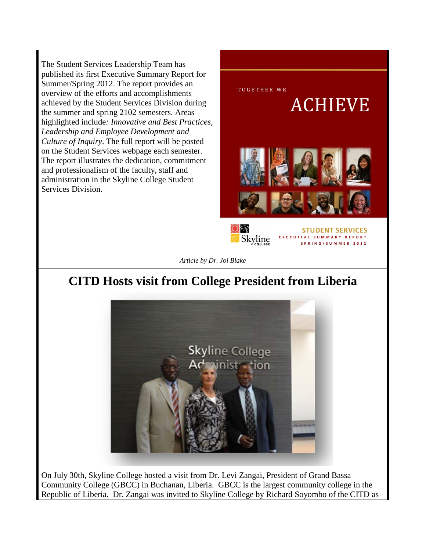The Student Services Leadership Team has published its first Executive Summary Report for Summer/Spring 2012. The report provides an overview of the efforts and accomplishments achieved by the Student Services Division during the summer and spring 2102 semesters. Areas highlighted include*: Innovative and Best Practices, Leadership and Employee Development and Culture of Inquiry*. The full report will be posted on the Student Services webpage each semester. The report illustrates the dedication, commitment and professionalism of the faculty, staff and administration in the Skyline College Student Services Division.



*Article by Dr. Joi Blake*

### <span id="page-8-0"></span>**CITD Hosts visit from College President from Liberia**



On July 30th, Skyline College hosted a visit from Dr. Levi Zangai, President of Grand Bassa Community College (GBCC) in Buchanan, Liberia. GBCC is the largest community college in the Republic of Liberia. Dr. Zangai was invited to Skyline College by Richard Soyombo of the CITD as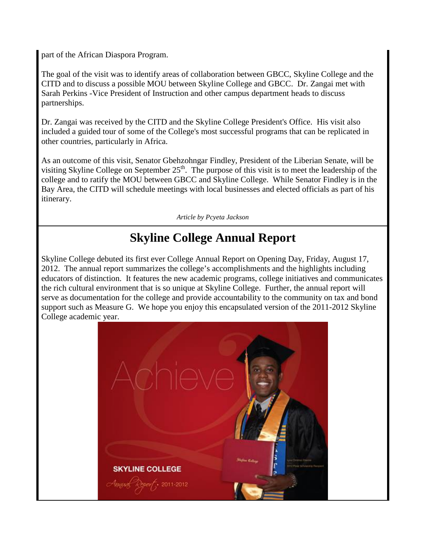part of the African Diaspora Program.

The goal of the visit was to identify areas of collaboration between GBCC, Skyline College and the CITD and to discuss a possible MOU between Skyline College and GBCC. Dr. Zangai met with Sarah Perkins -Vice President of Instruction and other campus department heads to discuss partnerships.

Dr. Zangai was received by the CITD and the Skyline College President's Office. His visit also included a guided tour of some of the College's most successful programs that can be replicated in other countries, particularly in Africa.

As an outcome of this visit, Senator Gbehzohngar Findley, President of the Liberian Senate, will be visiting Skyline College on September 25<sup>th</sup>. The purpose of this visit is to meet the leadership of the college and to ratify the MOU between GBCC and Skyline College. While Senator Findley is in the Bay Area, the CITD will schedule meetings with local businesses and elected officials as part of his itinerary.

*Article by Pcyeta Jackson*

#### **Skyline College Annual Report**

<span id="page-9-0"></span>Skyline College debuted its first ever College Annual Report on Opening Day, Friday, August 17, 2012. The annual report summarizes the college's accomplishments and the highlights including educators of distinction. It features the new academic programs, college initiatives and communicates the rich cultural environment that is so unique at Skyline College. Further, the annual report will serve as documentation for the college and provide accountability to the community on tax and bond support such as Measure G. We hope you enjoy this encapsulated version of the 2011-2012 Skyline College academic year.

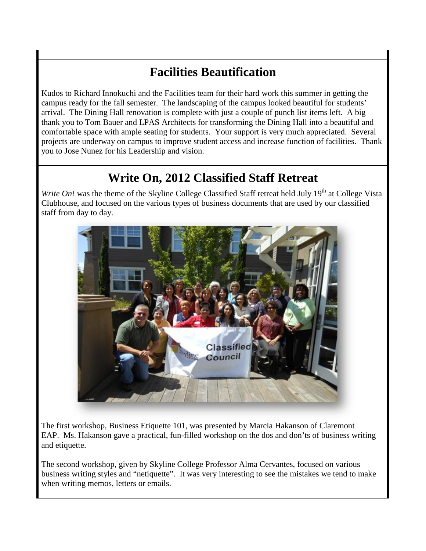### **Facilities Beautification**

<span id="page-10-1"></span>Kudos to Richard Innokuchi and the Facilities team for their hard work this summer in getting the campus ready for the fall semester. The landscaping of the campus looked beautiful for students' arrival. The Dining Hall renovation is complete with just a couple of punch list items left. A big thank you to Tom Bauer and LPAS Architects for transforming the Dining Hall into a beautiful and comfortable space with ample seating for students. Your support is very much appreciated. Several projects are underway on campus to improve student access and increase function of facilities. Thank you to Jose Nunez for his Leadership and vision.

### **Write On, 2012 Classified Staff Retreat**

<span id="page-10-0"></span>*Write On!* was the theme of the Skyline College Classified Staff retreat held July 19<sup>th</sup> at College Vista Clubhouse, and focused on the various types of business documents that are used by our classified staff from day to day.



The first workshop, Business Etiquette 101, was presented by Marcia Hakanson of Claremont EAP. Ms. Hakanson gave a practical, fun-filled workshop on the dos and don'ts of business writing and etiquette.

The second workshop, given by Skyline College Professor Alma Cervantes, focused on various business writing styles and "netiquette". It was very interesting to see the mistakes we tend to make when writing memos, letters or emails.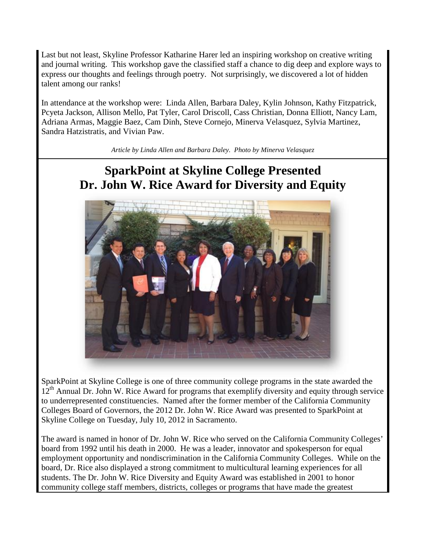Last but not least, Skyline Professor Katharine Harer led an inspiring workshop on creative writing and journal writing. This workshop gave the classified staff a chance to dig deep and explore ways to express our thoughts and feelings through poetry. Not surprisingly, we discovered a lot of hidden talent among our ranks!

In attendance at the workshop were: Linda Allen, Barbara Daley, Kylin Johnson, Kathy Fitzpatrick, Pcyeta Jackson, Allison Mello, Pat Tyler, Carol Driscoll, Cass Christian, Donna Elliott, Nancy Lam, Adriana Armas, Maggie Baez, Cam Dinh, Steve Cornejo, Minerva Velasquez, Sylvia Martinez, Sandra Hatzistratis, and Vivian Paw.

*Article by Linda Allen and Barbara Daley. Photo by Minerva Velasquez*

### <span id="page-11-0"></span>**SparkPoint at Skyline College Presented Dr. John W. Rice Award for Diversity and Equity**



SparkPoint at Skyline College is one of three community college programs in the state awarded the  $12<sup>th</sup>$  Annual Dr. John W. Rice Award for programs that exemplify diversity and equity through service to underrepresented constituencies. Named after the former member of the California Community Colleges Board of Governors, the 2012 Dr. John W. Rice Award was presented to SparkPoint at Skyline College on Tuesday, July 10, 2012 in Sacramento.

The award is named in honor of Dr. John W. Rice who served on the California Community Colleges' board from 1992 until his death in 2000. He was a leader, innovator and spokesperson for equal employment opportunity and nondiscrimination in the California Community Colleges. While on the board, Dr. Rice also displayed a strong commitment to multicultural learning experiences for all students. The Dr. John W. Rice Diversity and Equity Award was established in 2001 to honor community college staff members, districts, colleges or programs that have made the greatest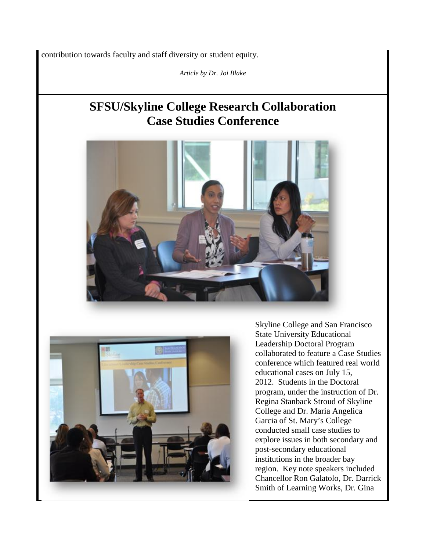<span id="page-12-0"></span>contribution towards faculty and staff diversity or student equity.

*Article by Dr. Joi Blake*

#### **SFSU/Skyline College Research Collaboration Case Studies Conference**





Skyline College and San Francisco State University Educational Leadership Doctoral Program collaborated to feature a Case Studies conference which featured real world educational cases on July 15, 2012. Students in the Doctoral program, under the instruction of Dr. Regina Stanback Stroud of Skyline College and Dr. Maria Angelica Garcia of St. Mary's College conducted small case studies to explore issues in both secondary and post-secondary educational institutions in the broader bay region. Key note speakers included Chancellor Ron Galatolo, Dr. Darrick Smith of Learning Works, Dr. Gina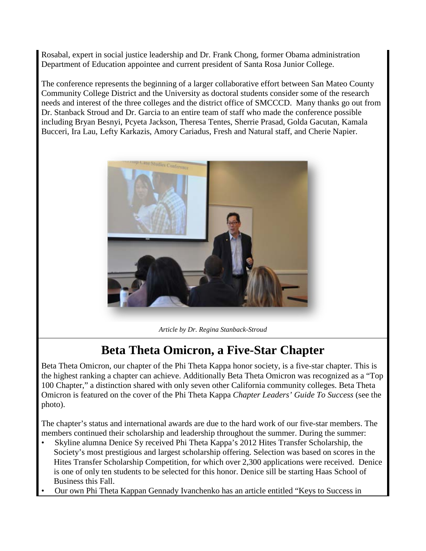Rosabal, expert in social justice leadership and Dr. Frank Chong, former Obama administration Department of Education appointee and current president of Santa Rosa Junior College.

The conference represents the beginning of a larger collaborative effort between San Mateo County Community College District and the University as doctoral students consider some of the research needs and interest of the three colleges and the district office of SMCCCD. Many thanks go out from Dr. Stanback Stroud and Dr. Garcia to an entire team of staff who made the conference possible including Bryan Besnyi, Pcyeta Jackson, Theresa Tentes, Sherrie Prasad, Golda Gacutan, Kamala Bucceri, Ira Lau, Lefty Karkazis, Amory Cariadus, Fresh and Natural staff, and Cherie Napier.



*Article by Dr. Regina Stanback-Stroud*

### **Beta Theta Omicron, a Five-Star Chapter**

<span id="page-13-0"></span>Beta Theta Omicron, our chapter of the Phi Theta Kappa honor society, is a five-star chapter. This is the highest ranking a chapter can achieve. Additionally Beta Theta Omicron was recognized as a "Top 100 Chapter," a distinction shared with only seven other California community colleges. Beta Theta Omicron is featured on the cover of the Phi Theta Kappa *Chapter Leaders' Guide To Success* (see the photo).

The chapter's status and international awards are due to the hard work of our five-star members. The members continued their scholarship and leadership throughout the summer. During the summer:

- Skyline alumna Denice Sy received Phi Theta Kappa's 2012 Hites Transfer Scholarship, the Society's most prestigious and largest scholarship offering. Selection was based on scores in the Hites Transfer Scholarship Competition, for which over 2,300 applications were received. Denice is one of only ten students to be selected for this honor. Denice sill be starting Haas School of Business this Fall.
- Our own Phi Theta Kappan Gennady Ivanchenko has an article entitled "Keys to Success in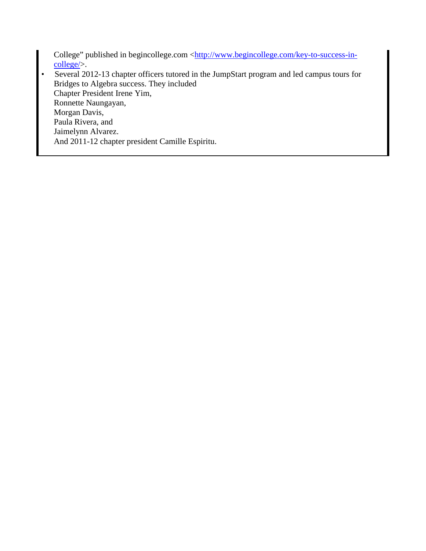College" published in begincollege.com [<http://www.begincollege.com/key-to-success-in](http://www.begincollege.com/key-to-success-in-college/)[college/>](http://www.begincollege.com/key-to-success-in-college/). • Several 2012-13 chapter officers tutored in the JumpStart program and led campus tours for

Bridges to Algebra success. They included Chapter President Irene Yim, Ronnette Naungayan, Morgan Davis, Paula Rivera, and Jaimelynn Alvarez. And 2011-12 chapter president Camille Espiritu.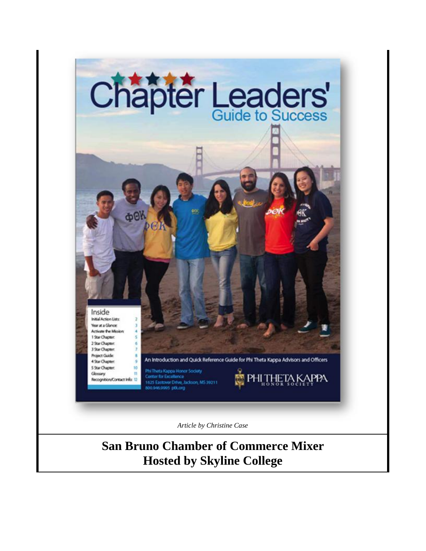<span id="page-15-0"></span>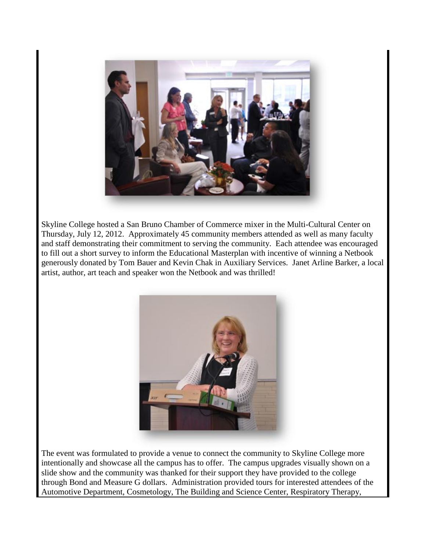

Skyline College hosted a San Bruno Chamber of Commerce mixer in the Multi-Cultural Center on Thursday, July 12, 2012. Approximately 45 community members attended as well as many faculty and staff demonstrating their commitment to serving the community. Each attendee was encouraged to fill out a short survey to inform the Educational Masterplan with incentive of winning a Netbook generously donated by Tom Bauer and Kevin Chak in Auxiliary Services. Janet Arline Barker, a local artist, author, art teach and speaker won the Netbook and was thrilled!



The event was formulated to provide a venue to connect the community to Skyline College more intentionally and showcase all the campus has to offer. The campus upgrades visually shown on a slide show and the community was thanked for their support they have provided to the college through Bond and Measure G dollars. Administration provided tours for interested attendees of the Automotive Department, Cosmetology, The Building and Science Center, Respiratory Therapy,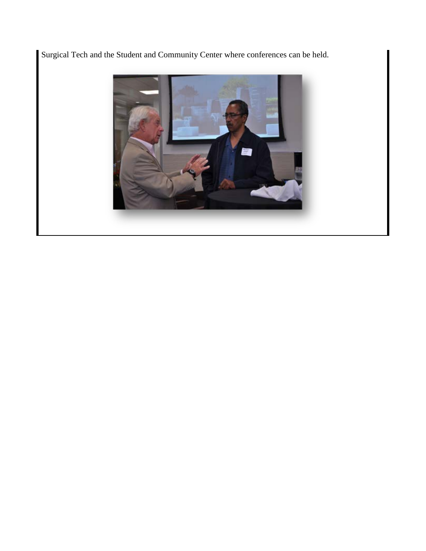Surgical Tech and the Student and Community Center where conferences can be held.

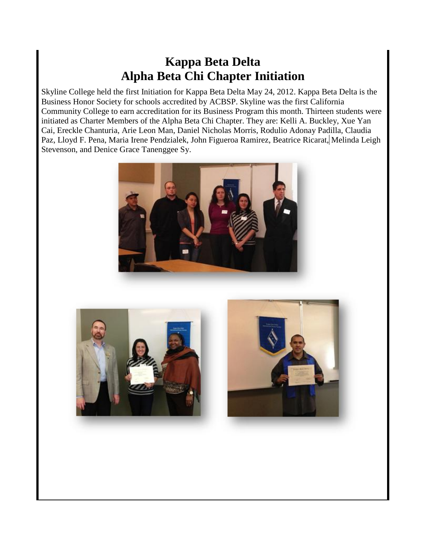### **Kappa Beta Delta Alpha Beta Chi Chapter Initiation**

<span id="page-18-0"></span>Skyline College held the first Initiation for Kappa Beta Delta May 24, 2012. Kappa Beta Delta is the Business Honor Society for schools accredited by ACBSP. Skyline was the first California Community College to earn accreditation for its Business Program this month. Thirteen students were initiated as Charter Members of the Alpha Beta Chi Chapter. They are: Kelli A. Buckley, Xue Yan Cai, Ereckle Chanturia, Arie Leon Man, Daniel Nicholas Morris, Rodulio Adonay Padilla, Claudia Paz, Lloyd F. Pena, Maria Irene Pendzialek, John Figueroa Ramirez, Beatrice Ricarat, Melinda Leigh Stevenson, and Denice Grace Tanenggee Sy.





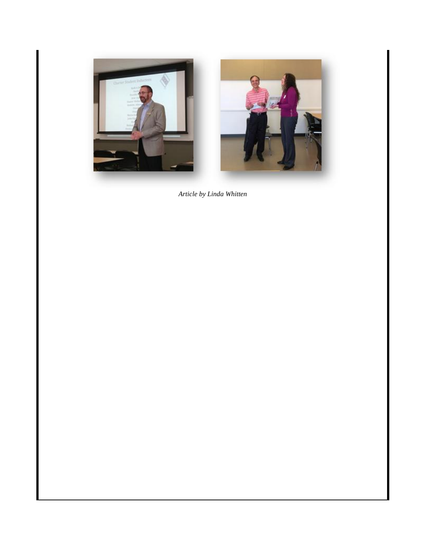

*Article by Linda Whitten*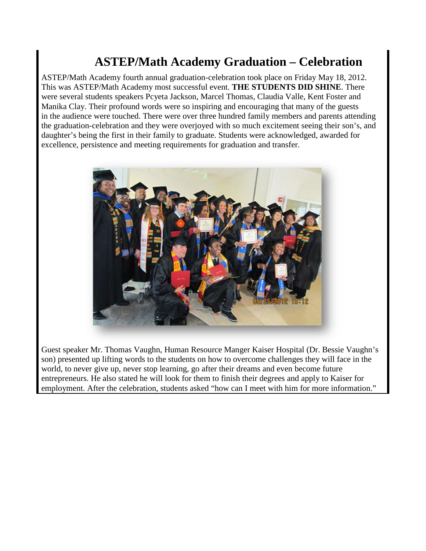### <span id="page-20-0"></span>**ASTEP/Math Academy Graduation – Celebration**

ASTEP/Math Academy fourth annual graduation-celebration took place on Friday May 18, 2012. This was ASTEP/Math Academy most successful event. **THE STUDENTS DID SHINE**. There were several students speakers Pcyeta Jackson, Marcel Thomas, Claudia Valle, Kent Foster and Manika Clay. Their profound words were so inspiring and encouraging that many of the guests in the audience were touched. There were over three hundred family members and parents attending the graduation-celebration and they were overjoyed with so much excitement seeing their son's, and daughter's being the first in their family to graduate. Students were acknowledged, awarded for excellence, persistence and meeting requirements for graduation and transfer.



Guest speaker Mr. Thomas Vaughn, Human Resource Manger Kaiser Hospital (Dr. Bessie Vaughn's son) presented up lifting words to the students on how to overcome challenges they will face in the world, to never give up, never stop learning, go after their dreams and even become future entrepreneurs. He also stated he will look for them to finish their degrees and apply to Kaiser for employment. After the celebration, students asked "how can I meet with him for more information."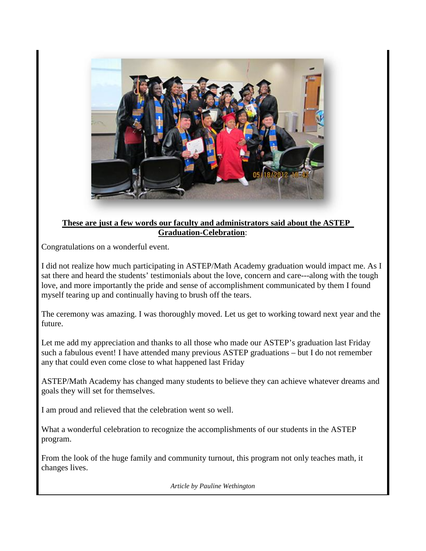

#### **These are just a few words our faculty and administrators said about the ASTEP Graduation-Celebration**:

Congratulations on a wonderful event.

I did not realize how much participating in ASTEP/Math Academy graduation would impact me. As I sat there and heard the students' testimonials about the love, concern and care---along with the tough love, and more importantly the pride and sense of accomplishment communicated by them I found myself tearing up and continually having to brush off the tears.

The ceremony was amazing. I was thoroughly moved. Let us get to working toward next year and the future.

Let me add my appreciation and thanks to all those who made our ASTEP's graduation last Friday such a fabulous event! I have attended many previous ASTEP graduations – but I do not remember any that could even come close to what happened last Friday

ASTEP/Math Academy has changed many students to believe they can achieve whatever dreams and goals they will set for themselves.

I am proud and relieved that the celebration went so well.

What a wonderful celebration to recognize the accomplishments of our students in the ASTEP program.

From the look of the huge family and community turnout, this program not only teaches math, it changes lives.

*Article by Pauline Wethington*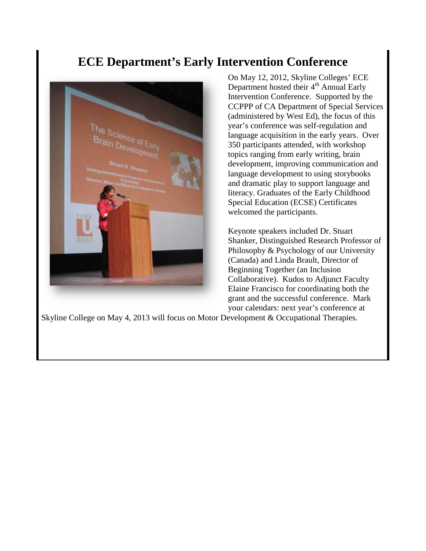### **ECE Department's Early Intervention Conference**

<span id="page-22-0"></span>

On May 12, 2012, Skyline Colleges' ECE Department hosted their 4<sup>th</sup> Annual Early Intervention Conference. Supported by the CCPPP of CA Department of Special Services (administered by West Ed), the focus of this year's conference was self-regulation and language acquisition in the early years. Over 350 participants attended, with workshop topics ranging from early writing, brain development, improving communication and language development to using storybooks and dramatic play to support language and literacy. Graduates of the Early Childhood Special Education (ECSE) Certificates welcomed the participants.

Keynote speakers included Dr. Stuart Shanker, Distinguished Research Professor of Philosophy & Psychology of our University (Canada) and Linda Brault, Director of Beginning Together (an Inclusion Collaborative). Kudos to Adjunct Faculty Elaine Francisco for coordinating both the grant and the successful conference. Mark your calendars: next year's conference at

Skyline College on May 4, 2013 will focus on Motor Development & Occupational Therapies.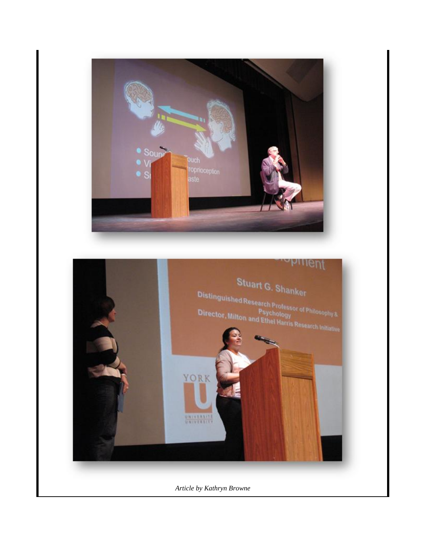

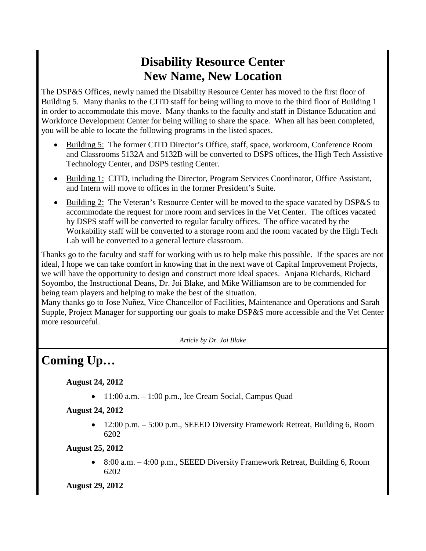### **Disability Resource Center New Name, New Location**

<span id="page-24-1"></span>The DSP&S Offices, newly named the Disability Resource Center has moved to the first floor of Building 5. Many thanks to the CITD staff for being willing to move to the third floor of Building 1 in order to accommodate this move. Many thanks to the faculty and staff in Distance Education and Workforce Development Center for being willing to share the space. When all has been completed, you will be able to locate the following programs in the listed spaces.

- Building 5: The former CITD Director's Office, staff, space, workroom, Conference Room and Classrooms 5132A and 5132B will be converted to DSPS offices, the High Tech Assistive Technology Center, and DSPS testing Center.
- Building 1: CITD, including the Director, Program Services Coordinator, Office Assistant, and Intern will move to offices in the former President's Suite.
- Building 2: The Veteran's Resource Center will be moved to the space vacated by DSP&S to accommodate the request for more room and services in the Vet Center. The offices vacated by DSPS staff will be converted to regular faculty offices. The office vacated by the Workability staff will be converted to a storage room and the room vacated by the High Tech Lab will be converted to a general lecture classroom.

Thanks go to the faculty and staff for working with us to help make this possible. If the spaces are not ideal, I hope we can take comfort in knowing that in the next wave of Capital Improvement Projects, we will have the opportunity to design and construct more ideal spaces. Anjana Richards, Richard Soyombo, the Instructional Deans, Dr. Joi Blake, and Mike Williamson are to be commended for being team players and helping to make the best of the situation.

Many thanks go to Jose Nuñez, Vice Chancellor of Facilities, Maintenance and Operations and Sarah Supple, Project Manager for supporting our goals to make DSP&S more accessible and the Vet Center more resourceful.

*Article by Dr. Joi Blake*

### <span id="page-24-0"></span>**Coming Up…**

**August 24, 2012**

• 11:00 a.m. – 1:00 p.m., Ice Cream Social, Campus Quad

**August 24, 2012**

• 12:00 p.m. – 5:00 p.m., SEEED Diversity Framework Retreat, Building 6, Room 6202

**August 25, 2012**

• 8:00 a.m. – 4:00 p.m., SEEED Diversity Framework Retreat, Building 6, Room 6202

**August 29, 2012**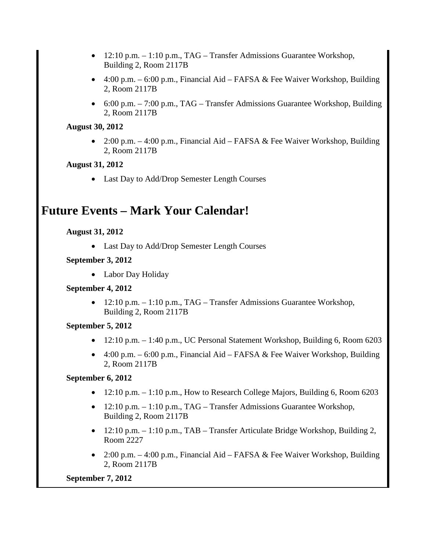- 12:10 p.m. 1:10 p.m., TAG Transfer Admissions Guarantee Workshop, Building 2, Room 2117B
- 4:00 p.m. 6:00 p.m., Financial Aid FAFSA & Fee Waiver Workshop, Building 2, Room 2117B
- 6:00 p.m. 7:00 p.m., TAG Transfer Admissions Guarantee Workshop, Building 2, Room 2117B

#### **August 30, 2012**

• 2:00 p.m. – 4:00 p.m., Financial Aid – FAFSA & Fee Waiver Workshop, Building 2, Room 2117B

#### **August 31, 2012**

• Last Day to Add/Drop Semester Length Courses

#### **Future Events – Mark Your Calendar!**

**August 31, 2012**

• Last Day to Add/Drop Semester Length Courses

#### **September 3, 2012**

• Labor Day Holiday

#### **September 4, 2012**

•  $12:10$  p.m.  $-1:10$  p.m., TAG – Transfer Admissions Guarantee Workshop, Building 2, Room 2117B

#### **September 5, 2012**

- 12:10 p.m. 1:40 p.m., UC Personal Statement Workshop, Building 6, Room 6203
- 4:00 p.m. 6:00 p.m., Financial Aid FAFSA & Fee Waiver Workshop, Building 2, Room 2117B

#### **September 6, 2012**

- 12:10 p.m. 1:10 p.m., How to Research College Majors, Building 6, Room 6203
- 12:10 p.m. 1:10 p.m., TAG Transfer Admissions Guarantee Workshop, Building 2, Room 2117B
- 12:10 p.m. 1:10 p.m., TAB Transfer Articulate Bridge Workshop, Building 2, Room 2227
- 2:00 p.m. 4:00 p.m., Financial Aid FAFSA & Fee Waiver Workshop, Building 2, Room 2117B

#### **September 7, 2012**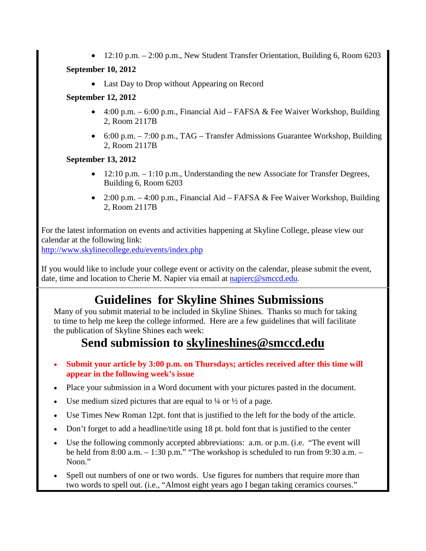• 12:10 p.m. – 2:00 p.m., New Student Transfer Orientation, Building 6, Room 6203

#### **September 10, 2012**

• Last Day to Drop without Appearing on Record

#### **September 12, 2012**

- 4:00 p.m.  $-6:00$  p.m., Financial Aid FAFSA  $\&$  Fee Waiver Workshop, Building 2, Room 2117B
- 6:00 p.m. 7:00 p.m., TAG Transfer Admissions Guarantee Workshop, Building 2, Room 2117B

#### **September 13, 2012**

- 12:10 p.m.  $-1:10$  p.m., Understanding the new Associate for Transfer Degrees, Building 6, Room 6203
- 2:00 p.m. 4:00 p.m., Financial Aid FAFSA & Fee Waiver Workshop, Building 2, Room 2117B

For the latest information on events and activities happening at Skyline College, please view our calendar at the following link:

<http://www.skylinecollege.edu/events/index.php>

If you would like to include your college event or activity on the calendar, please submit the event, date, time and location to Cherie M. Napier via email at [napierc@smccd.edu.](mailto:napierc@smccd.edu)

### **Guidelines for Skyline Shines Submissions**

<span id="page-26-0"></span>Many of you submit material to be included in Skyline Shines. Thanks so much for taking to time to help me keep the college informed. Here are a few guidelines that will facilitate the publication of Skyline Shines each week:

### **Send submission to [skylineshines@smccd.edu](mailto:skylineshines@smccd.edu)**

- **Submit your article by 3:00 p.m. on Thursdays; articles received after this time will appear in the following week's issue**
- Place your submission in a Word document with your pictures pasted in the document.
- Use medium sized pictures that are equal to  $\frac{1}{4}$  or  $\frac{1}{2}$  of a page.
- Use Times New Roman 12pt. font that is justified to the left for the body of the article.
- Don't forget to add a headline/title using 18 pt. bold font that is justified to the center
- Use the following commonly accepted abbreviations: a.m. or p.m. (i.e. "The event will be held from 8:00 a.m. – 1:30 p.m." "The workshop is scheduled to run from 9:30 a.m. – Noon."
- Spell out numbers of one or two words. Use figures for numbers that require more than two words to spell out. (i.e., "Almost eight years ago I began taking ceramics courses."